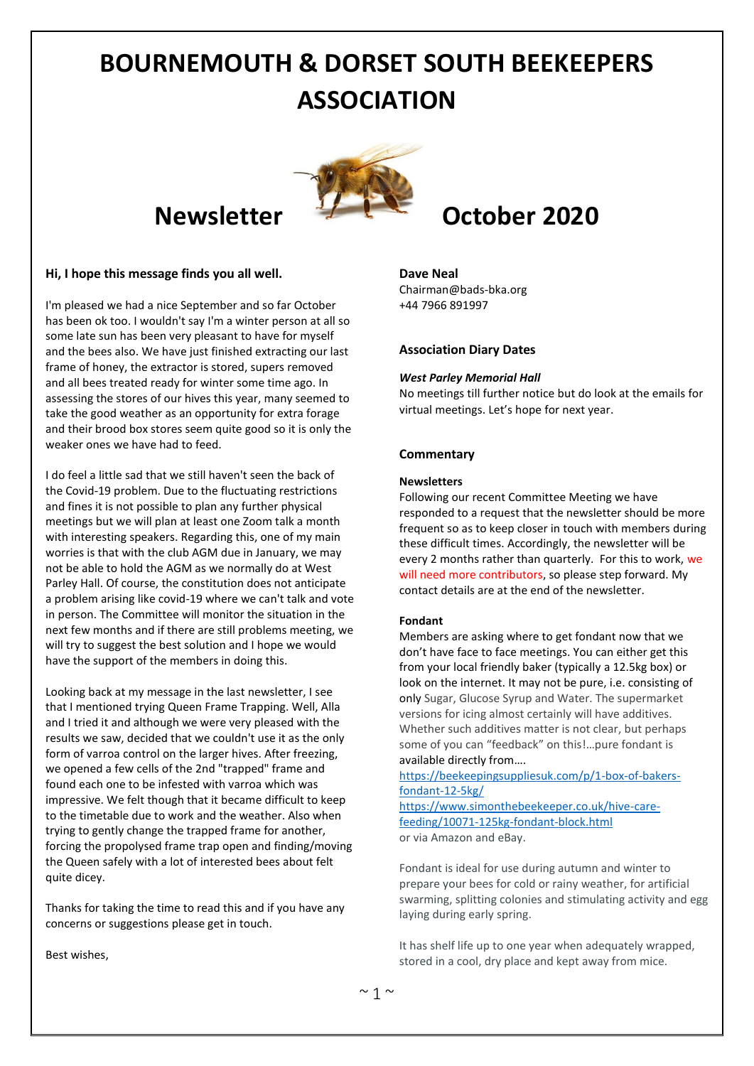# **BOURNEMOUTH & DORSET SOUTH BEEKEEPERS ASSOCIATION**



### **Hi, I hope this message finds you all well.**

I'm pleased we had a nice September and so far October has been ok too. I wouldn't say I'm a winter person at all so some late sun has been very pleasant to have for myself and the bees also. We have just finished extracting our last frame of honey, the extractor is stored, supers removed and all bees treated ready for winter some time ago. In assessing the stores of our hives this year, many seemed to take the good weather as an opportunity for extra forage and their brood box stores seem quite good so it is only the weaker ones we have had to feed.

I do feel a little sad that we still haven't seen the back of the Covid-19 problem. Due to the fluctuating restrictions and fines it is not possible to plan any further physical meetings but we will plan at least one Zoom talk a month with interesting speakers. Regarding this, one of my main worries is that with the club AGM due in January, we may not be able to hold the AGM as we normally do at West Parley Hall. Of course, the constitution does not anticipate a problem arising like covid-19 where we can't talk and vote in person. The Committee will monitor the situation in the next few months and if there are still problems meeting, we will try to suggest the best solution and I hope we would have the support of the members in doing this.

Looking back at my message in the last newsletter, I see that I mentioned trying Queen Frame Trapping. Well, Alla and I tried it and although we were very pleased with the results we saw, decided that we couldn't use it as the only form of varroa control on the larger hives. After freezing, we opened a few cells of the 2nd "trapped" frame and found each one to be infested with varroa which was impressive. We felt though that it became difficult to keep to the timetable due to work and the weather. Also when trying to gently change the trapped frame for another, forcing the propolysed frame trap open and finding/moving the Queen safely with a lot of interested bees about felt quite dicey.

Thanks for taking the time to read this and if you have any concerns or suggestions please get in touch.

## **Newsletter** *I* **L C October** 2020

#### **Dave Neal**

Chairman@bads-bka.org +44 7966 891997

#### **Association Diary Dates**

#### *West Parley Memorial Hall*

No meetings till further notice but do look at the emails for virtual meetings. Let's hope for next year.

#### **Commentary**

#### **Newsletters**

Following our recent Committee Meeting we have responded to a request that the newsletter should be more frequent so as to keep closer in touch with members during these difficult times. Accordingly, the newsletter will be every 2 months rather than quarterly. For this to work, we will need more contributors, so please step forward. My contact details are at the end of the newsletter.

#### **Fondant**

Members are asking where to get fondant now that we don't have face to face meetings. You can either get this from your local friendly baker (typically a 12.5kg box) or look on the internet. It may not be pure, i.e. consisting of only Sugar, Glucose Syrup and Water. The supermarket versions for icing almost certainly will have additives. Whether such additives matter is not clear, but perhaps some of you can "feedback" on this!…pure fondant is available directly from….

[https://beekeepingsuppliesuk.com/p/1-box-of-bakers](https://beekeepingsuppliesuk.com/p/1-box-of-bakers-fondant-12-5kg/)[fondant-12-5kg/](https://beekeepingsuppliesuk.com/p/1-box-of-bakers-fondant-12-5kg/) [https://www.simonthebeekeeper.co.uk/hive-care](https://www.simonthebeekeeper.co.uk/hive-care-feeding/10071-125kg-fondant-block.html)[feeding/10071-125kg-fondant-block.html](https://www.simonthebeekeeper.co.uk/hive-care-feeding/10071-125kg-fondant-block.html)

or via Amazon and eBay.

Fondant is ideal for use during autumn and winter to prepare your bees for cold or rainy weather, for artificial swarming, splitting colonies and stimulating activity and egg laying during early spring.

It has shelf life up to one year when adequately wrapped, stored in a cool, dry place and kept away from mice.

Best wishes,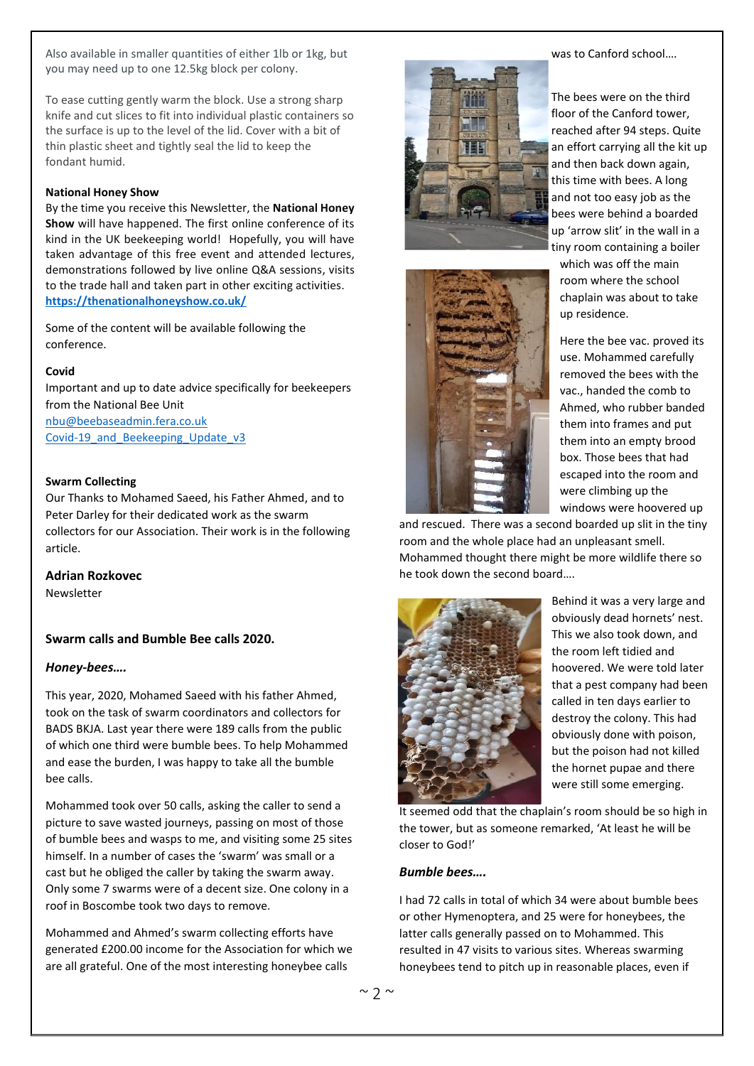Also available in smaller quantities of either 1lb or 1kg, but you may need up to one 12.5kg block per colony.

To ease cutting gently warm the block. Use a strong sharp knife and cut slices to fit into individual plastic containers so the surface is up to the level of the lid. Cover with a bit of thin plastic sheet and tightly seal the lid to keep the fondant humid.

#### **National Honey Show**

By the time you receive this Newsletter, the **National Honey Show** will have happened. The first online conference of its kind in the UK beekeeping world! Hopefully, you will have taken advantage of this free event and attended lectures, demonstrations followed by live online Q&A sessions, visits to the trade hall and taken part in other exciting activities. **<https://thenationalhoneyshow.co.uk/>**

Some of the content will be available following the conference.

#### **Covid**

Important and up to date advice specifically for beekeepers from the National Bee Unit [nbu@beebaseadmin.fera.co.uk](mailto:nbu@beebaseadmin.fera.co.uk) Covid-19 and Beekeeping Update v3

#### **Swarm Collecting**

Our Thanks to Mohamed Saeed, his Father Ahmed, and to Peter Darley for their dedicated work as the swarm collectors for our Association. Their work is in the following article.

#### **Adrian Rozkovec**

**Newsletter** 

#### **Swarm calls and Bumble Bee calls 2020.**

#### *Honey-bees….*

This year, 2020, Mohamed Saeed with his father Ahmed, took on the task of swarm coordinators and collectors for BADS BKJA. Last year there were 189 calls from the public of which one third were bumble bees. To help Mohammed and ease the burden, I was happy to take all the bumble bee calls.

Mohammed took over 50 calls, asking the caller to send a picture to save wasted journeys, passing on most of those of bumble bees and wasps to me, and visiting some 25 sites himself. In a number of cases the 'swarm' was small or a cast but he obliged the caller by taking the swarm away. Only some 7 swarms were of a decent size. One colony in a roof in Boscombe took two days to remove.

Mohammed and Ahmed's swarm collecting efforts have generated £200.00 income for the Association for which we are all grateful. One of the most interesting honeybee calls





was to Canford school….

The bees were on the third floor of the Canford tower, reached after 94 steps. Quite an effort carrying all the kit up and then back down again, this time with bees. A long and not too easy job as the bees were behind a boarded up 'arrow slit' in the wall in a tiny room containing a boiler

which was off the main room where the school chaplain was about to take up residence.

Here the bee vac. proved its use. Mohammed carefully removed the bees with the vac., handed the comb to Ahmed, who rubber banded them into frames and put them into an empty brood box. Those bees that had escaped into the room and were climbing up the windows were hoovered up

and rescued. There was a second boarded up slit in the tiny room and the whole place had an unpleasant smell. Mohammed thought there might be more wildlife there so he took down the second board….



Behind it was a very large and obviously dead hornets' nest. This we also took down, and the room left tidied and hoovered. We were told later that a pest company had been called in ten days earlier to destroy the colony. This had obviously done with poison, but the poison had not killed the hornet pupae and there were still some emerging.

It seemed odd that the chaplain's room should be so high in the tower, but as someone remarked, 'At least he will be closer to God!'

#### *Bumble bees….*

I had 72 calls in total of which 34 were about bumble bees or other Hymenoptera, and 25 were for honeybees, the latter calls generally passed on to Mohammed. This resulted in 47 visits to various sites. Whereas swarming honeybees tend to pitch up in reasonable places, even if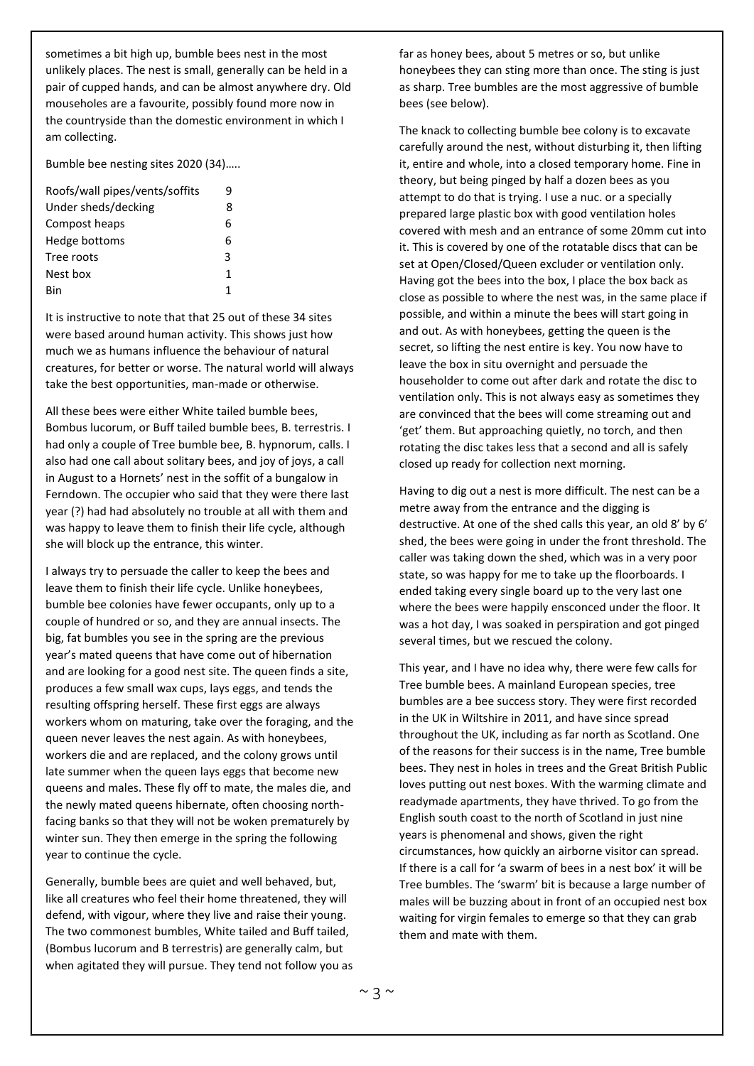sometimes a bit high up, bumble bees nest in the most unlikely places. The nest is small, generally can be held in a pair of cupped hands, and can be almost anywhere dry. Old mouseholes are a favourite, possibly found more now in the countryside than the domestic environment in which I am collecting.

Bumble bee nesting sites 2020 (34)…..

| Roofs/wall pipes/vents/soffits | q |
|--------------------------------|---|
| Under sheds/decking            | 8 |
| Compost heaps                  | 6 |
| Hedge bottoms                  | 6 |
| Tree roots                     | 3 |
| Nest box                       | 1 |
| Rin                            | 1 |

It is instructive to note that that 25 out of these 34 sites were based around human activity. This shows just how much we as humans influence the behaviour of natural creatures, for better or worse. The natural world will always take the best opportunities, man-made or otherwise.

All these bees were either White tailed bumble bees, Bombus lucorum, or Buff tailed bumble bees, B. terrestris. I had only a couple of Tree bumble bee, B. hypnorum, calls. I also had one call about solitary bees, and joy of joys, a call in August to a Hornets' nest in the soffit of a bungalow in Ferndown. The occupier who said that they were there last year (?) had had absolutely no trouble at all with them and was happy to leave them to finish their life cycle, although she will block up the entrance, this winter.

I always try to persuade the caller to keep the bees and leave them to finish their life cycle. Unlike honeybees, bumble bee colonies have fewer occupants, only up to a couple of hundred or so, and they are annual insects. The big, fat bumbles you see in the spring are the previous year's mated queens that have come out of hibernation and are looking for a good nest site. The queen finds a site, produces a few small wax cups, lays eggs, and tends the resulting offspring herself. These first eggs are always workers whom on maturing, take over the foraging, and the queen never leaves the nest again. As with honeybees, workers die and are replaced, and the colony grows until late summer when the queen lays eggs that become new queens and males. These fly off to mate, the males die, and the newly mated queens hibernate, often choosing northfacing banks so that they will not be woken prematurely by winter sun. They then emerge in the spring the following year to continue the cycle.

Generally, bumble bees are quiet and well behaved, but, like all creatures who feel their home threatened, they will defend, with vigour, where they live and raise their young. The two commonest bumbles, White tailed and Buff tailed, (Bombus lucorum and B terrestris) are generally calm, but when agitated they will pursue. They tend not follow you as far as honey bees, about 5 metres or so, but unlike honeybees they can sting more than once. The sting is just as sharp. Tree bumbles are the most aggressive of bumble bees (see below).

The knack to collecting bumble bee colony is to excavate carefully around the nest, without disturbing it, then lifting it, entire and whole, into a closed temporary home. Fine in theory, but being pinged by half a dozen bees as you attempt to do that is trying. I use a nuc. or a specially prepared large plastic box with good ventilation holes covered with mesh and an entrance of some 20mm cut into it. This is covered by one of the rotatable discs that can be set at Open/Closed/Queen excluder or ventilation only. Having got the bees into the box, I place the box back as close as possible to where the nest was, in the same place if possible, and within a minute the bees will start going in and out. As with honeybees, getting the queen is the secret, so lifting the nest entire is key. You now have to leave the box in situ overnight and persuade the householder to come out after dark and rotate the disc to ventilation only. This is not always easy as sometimes they are convinced that the bees will come streaming out and 'get' them. But approaching quietly, no torch, and then rotating the disc takes less that a second and all is safely closed up ready for collection next morning.

Having to dig out a nest is more difficult. The nest can be a metre away from the entrance and the digging is destructive. At one of the shed calls this year, an old 8' by 6' shed, the bees were going in under the front threshold. The caller was taking down the shed, which was in a very poor state, so was happy for me to take up the floorboards. I ended taking every single board up to the very last one where the bees were happily ensconced under the floor. It was a hot day, I was soaked in perspiration and got pinged several times, but we rescued the colony.

This year, and I have no idea why, there were few calls for Tree bumble bees. A mainland European species, tree bumbles are a bee success story. They were first recorded in the UK in Wiltshire in 2011, and have since spread throughout the UK, including as far north as Scotland. One of the reasons for their success is in the name, Tree bumble bees. They nest in holes in trees and the Great British Public loves putting out nest boxes. With the warming climate and readymade apartments, they have thrived. To go from the English south coast to the north of Scotland in just nine years is phenomenal and shows, given the right circumstances, how quickly an airborne visitor can spread. If there is a call for 'a swarm of bees in a nest box' it will be Tree bumbles. The 'swarm' bit is because a large number of males will be buzzing about in front of an occupied nest box waiting for virgin females to emerge so that they can grab them and mate with them.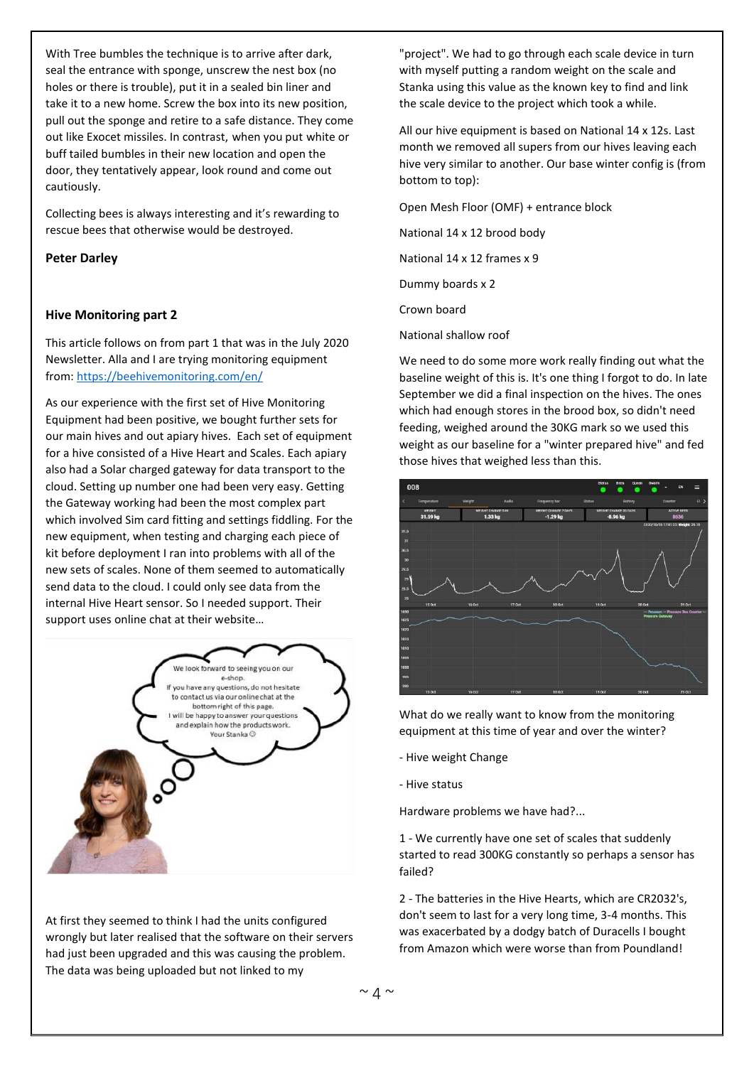With Tree bumbles the technique is to arrive after dark, seal the entrance with sponge, unscrew the nest box (no holes or there is trouble), put it in a sealed bin liner and take it to a new home. Screw the box into its new position, pull out the sponge and retire to a safe distance. They come out like Exocet missiles. In contrast, when you put white or buff tailed bumbles in their new location and open the door, they tentatively appear, look round and come out cautiously.

Collecting bees is always interesting and it's rewarding to rescue bees that otherwise would be destroyed.

#### **Peter Darley**

### **Hive Monitoring part 2**

This article follows on from part 1 that was in the July 2020 Newsletter. Alla and I are trying monitoring equipment from: <https://beehivemonitoring.com/en/>

As our experience with the first set of Hive Monitoring Equipment had been positive, we bought further sets for our main hives and out apiary hives. Each set of equipment for a hive consisted of a Hive Heart and Scales. Each apiary also had a Solar charged gateway for data transport to the cloud. Setting up number one had been very easy. Getting the Gateway working had been the most complex part which involved Sim card fitting and settings fiddling. For the new equipment, when testing and charging each piece of kit before deployment I ran into problems with all of the new sets of scales. None of them seemed to automatically send data to the cloud. I could only see data from the internal Hive Heart sensor. So I needed support. Their support uses online chat at their website…



At first they seemed to think I had the units configured wrongly but later realised that the software on their servers had just been upgraded and this was causing the problem. The data was being uploaded but not linked to my

"project". We had to go through each scale device in turn with myself putting a random weight on the scale and Stanka using this value as the known key to find and link the scale device to the project which took a while.

All our hive equipment is based on National 14 x 12s. Last month we removed all supers from our hives leaving each hive very similar to another. Our base winter config is (from bottom to top):

Open Mesh Floor (OMF) + entrance block

National 14 x 12 brood body

National 14 x 12 frames x 9

Dummy boards x 2

Crown board

National shallow roof

We need to do some more work really finding out what the baseline weight of this is. It's one thing I forgot to do. In late September we did a final inspection on the hives. The ones which had enough stores in the brood box, so didn't need feeding, weighed around the 30KG mark so we used this weight as our baseline for a "winter prepared hive" and fed those hives that weighed less than this.



What do we really want to know from the monitoring equipment at this time of year and over the winter?

- Hive weight Change
- Hive status

Hardware problems we have had?...

1 - We currently have one set of scales that suddenly started to read 300KG constantly so perhaps a sensor has failed?

2 - The batteries in the Hive Hearts, which are CR2032's, don't seem to last for a very long time, 3-4 months. This was exacerbated by a dodgy batch of Duracells I bought from Amazon which were worse than from Poundland!